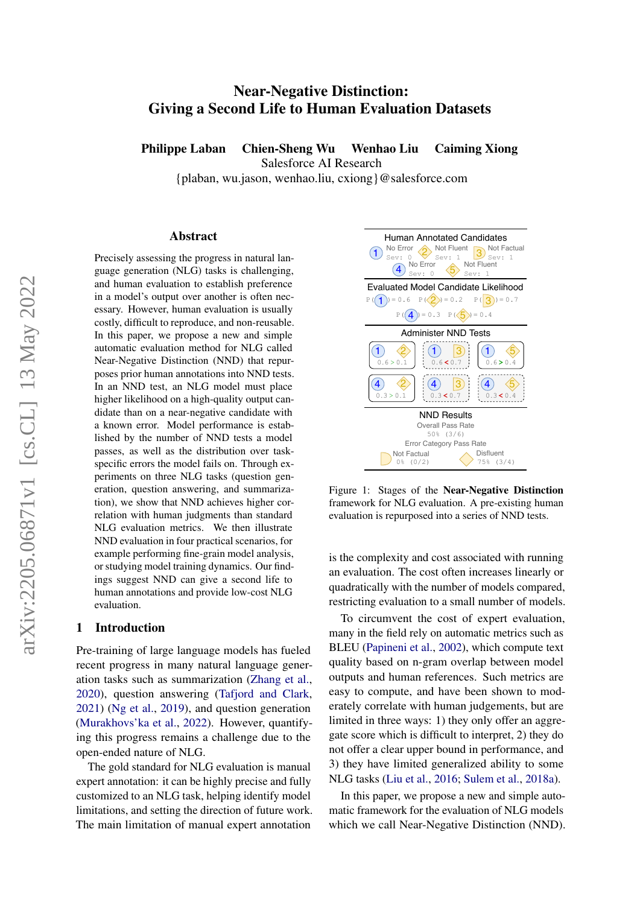# Near-Negative Distinction: Giving a Second Life to Human Evaluation Datasets

Philippe Laban Chien-Sheng Wu Wenhao Liu Caiming Xiong

Salesforce AI Research

{plaban, wu.jason, wenhao.liu, cxiong}@salesforce.com

#### Abstract

Precisely assessing the progress in natural language generation (NLG) tasks is challenging, and human evaluation to establish preference in a model's output over another is often necessary. However, human evaluation is usually costly, difficult to reproduce, and non-reusable. In this paper, we propose a new and simple automatic evaluation method for NLG called Near-Negative Distinction (NND) that repurposes prior human annotations into NND tests. In an NND test, an NLG model must place higher likelihood on a high-quality output candidate than on a near-negative candidate with a known error. Model performance is established by the number of NND tests a model passes, as well as the distribution over taskspecific errors the model fails on. Through experiments on three NLG tasks (question generation, question answering, and summarization), we show that NND achieves higher correlation with human judgments than standard NLG evaluation metrics. We then illustrate NND evaluation in four practical scenarios, for example performing fine-grain model analysis, or studying model training dynamics. Our findings suggest NND can give a second life to human annotations and provide low-cost NLG evaluation.

#### 1 Introduction

Pre-training of large language models has fueled recent progress in many natural language generation tasks such as summarization (Zhang et al., [2020\)](#page-10-0), question answering (Tafjord and Clark, [2021\)](#page-10-1) [\(Ng et al.,](#page-9-0) [2019\)](#page-9-0), and question generation [\(Murakhovs'ka et al.,](#page-9-1) [2022\)](#page-9-1). However, quantifying this progress remains a challenge due to the open-ended nature of NLG.

The gold standard for NLG evaluation is manual expert annotation: it can be highly precise and fully customized to an NLG task, helping identify model limitations, and setting the direction of future work. The main limitation of manual expert annotation

<span id="page-0-0"></span>

Figure 1: Stages of the Near-Negative Distinction framework for NLG evaluation. A pre-existing human evaluation is repurposed into a series of NND tests.

is the complexity and cost associated with running an evaluation. The cost often increases linearly or quadratically with the number of models compared, restricting evaluation to a small number of models.

Example the matrix of raise of the same and summarized and summarized and summarized and summarized and summarized in a stress of the Near-Negative NNLG cases higher or-<br>
When a content of the multistants of results are e To circumvent the cost of expert evaluation, many in the field rely on automatic metrics such as BLEU (Papineni et al., 2002), which compute text quality based on n-gram overlap between model outputs and human references. Such metrics are easy to compute, and have been shown to moderately correlate with human judgements, but are limited in three ways: 1) they only offer an aggregate score which is difficult to interpret, 2) they do not offer a clear upper bound in performance, and 3) they have limited generalized ability to some NLG tasks (Liu et al., 2016; [Sulem et al.,](#page-10-2) [2018a\)](#page-10-2).

In this paper, we propose a new and simple automatic framework for the evaluation of NLG models which we call Near-Negative Distinction (NND).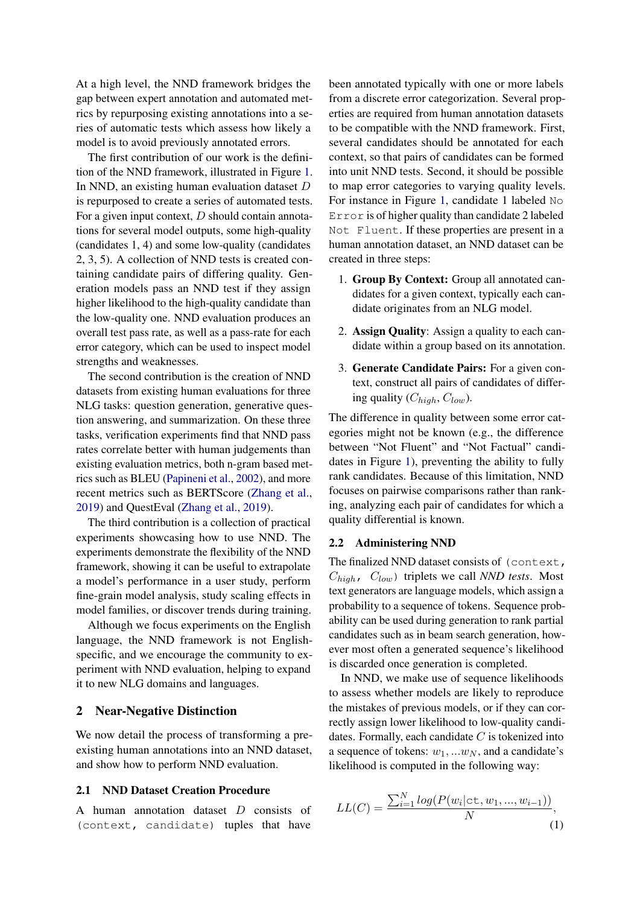At a high level, the NND framework bridges the gap between expert annotation and automated metrics by repurposing existing annotations into a series of automatic tests which assess how likely a model is to avoid previously annotated errors.

The first contribution of our work is the definition of the NND framework, illustrated in Figure [1.](#page-0-0) In NND, an existing human evaluation dataset D is repurposed to create a series of automated tests. For a given input context,  $D$  should contain annotations for several model outputs, some high-quality (candidates 1, 4) and some low-quality (candidates 2, 3, 5). A collection of NND tests is created containing candidate pairs of differing quality. Generation models pass an NND test if they assign higher likelihood to the high-quality candidate than the low-quality one. NND evaluation produces an overall test pass rate, as well as a pass-rate for each error category, which can be used to inspect model strengths and weaknesses.

The second contribution is the creation of NND datasets from existing human evaluations for three NLG tasks: question generation, generative question answering, and summarization. On these three tasks, verification experiments find that NND pass rates correlate better with human judgements than existing evaluation metrics, both n-gram based metrics such as BLEU [\(Papineni et al.,](#page-9-2) [2002\)](#page-9-2), and more recent metrics such as BERTScore [\(Zhang et al.,](#page-10-3) [2019\)](#page-10-3) and QuestEval [\(Zhang et al.,](#page-10-3) [2019\)](#page-10-3).

The third contribution is a collection of practical experiments showcasing how to use NND. The experiments demonstrate the flexibility of the NND framework, showing it can be useful to extrapolate a model's performance in a user study, perform fine-grain model analysis, study scaling effects in model families, or discover trends during training.

Although we focus experiments on the English language, the NND framework is not Englishspecific, and we encourage the community to experiment with NND evaluation, helping to expand it to new NLG domains and languages.

## 2 Near-Negative Distinction

We now detail the process of transforming a preexisting human annotations into an NND dataset, and show how to perform NND evaluation.

#### 2.1 NND Dataset Creation Procedure

A human annotation dataset D consists of (context, candidate) tuples that have been annotated typically with one or more labels from a discrete error categorization. Several properties are required from human annotation datasets to be compatible with the NND framework. First, several candidates should be annotated for each context, so that pairs of candidates can be formed into unit NND tests. Second, it should be possible to map error categories to varying quality levels. For instance in Figure [1,](#page-0-0) candidate 1 labeled No Error is of higher quality than candidate 2 labeled Not Fluent. If these properties are present in a human annotation dataset, an NND dataset can be created in three steps:

- 1. Group By Context: Group all annotated candidates for a given context, typically each candidate originates from an NLG model.
- 2. Assign Quality: Assign a quality to each candidate within a group based on its annotation.
- 3. Generate Candidate Pairs: For a given context, construct all pairs of candidates of differing quality  $(C_{high}, C_{low})$ .

The difference in quality between some error categories might not be known (e.g., the difference between "Not Fluent" and "Not Factual" candidates in Figure [1\)](#page-0-0), preventing the ability to fully rank candidates. Because of this limitation, NND focuses on pairwise comparisons rather than ranking, analyzing each pair of candidates for which a quality differential is known.

## 2.2 Administering NND

The finalized NND dataset consists of (context,  $C_{high}$ ,  $C_{low}$  triplets we call *NND tests*. Most text generators are language models, which assign a probability to a sequence of tokens. Sequence probability can be used during generation to rank partial candidates such as in beam search generation, however most often a generated sequence's likelihood is discarded once generation is completed.

In NND, we make use of sequence likelihoods to assess whether models are likely to reproduce the mistakes of previous models, or if they can correctly assign lower likelihood to low-quality candidates. Formally, each candidate  $C$  is tokenized into a sequence of tokens:  $w_1$ , ... $w_N$ , and a candidate's likelihood is computed in the following way:

$$
LL(C) = \frac{\sum_{i=1}^{N} log(P(w_i | \text{ct}, w_1, ..., w_{i-1}))}{N},
$$
\n(1)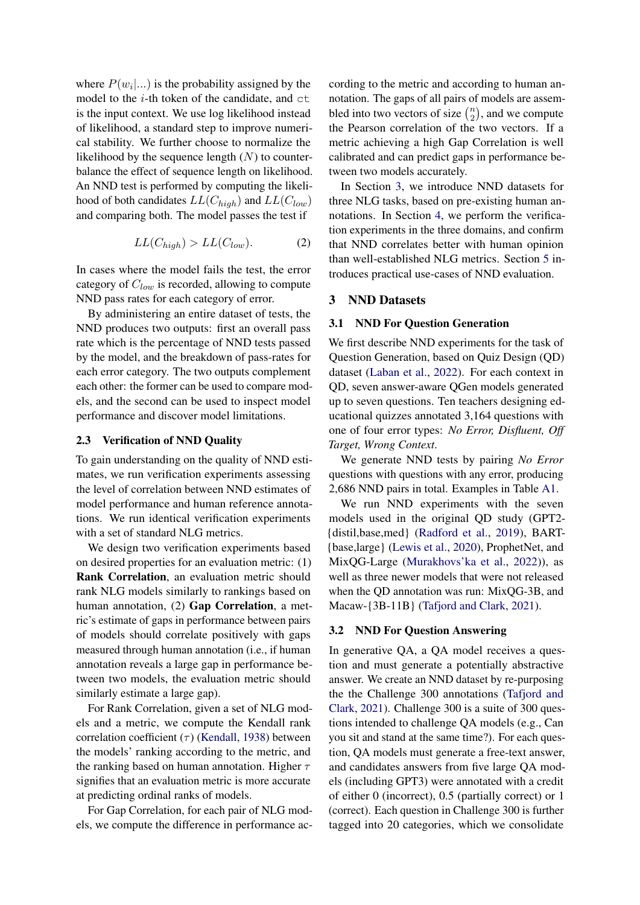where  $P(w_i | ...)$  is the probability assigned by the model to the  $i$ -th token of the candidate, and  $ct$ is the input context. We use log likelihood instead of likelihood, a standard step to improve numerical stability. We further choose to normalize the likelihood by the sequence length  $(N)$  to counterbalance the effect of sequence length on likelihood. An NND test is performed by computing the likelihood of both candidates  $LL(C_{high})$  and  $LL(C_{low})$ and comparing both. The model passes the test if

$$
LL(C_{high}) > LL(C_{low}).
$$
 (2)

In cases where the model fails the test, the error category of  $C_{low}$  is recorded, allowing to compute NND pass rates for each category of error.

By administering an entire dataset of tests, the NND produces two outputs: first an overall pass rate which is the percentage of NND tests passed by the model, and the breakdown of pass-rates for each error category. The two outputs complement each other: the former can be used to compare models, and the second can be used to inspect model performance and discover model limitations.

## <span id="page-2-1"></span>2.3 Verification of NND Quality

To gain understanding on the quality of NND estimates, we run verification experiments assessing the level of correlation between NND estimates of model performance and human reference annotations. We run identical verification experiments with a set of standard NLG metrics.

We design two verification experiments based on desired properties for an evaluation metric: (1) Rank Correlation, an evaluation metric should rank NLG models similarly to rankings based on human annotation, (2) Gap Correlation, a metric's estimate of gaps in performance between pairs of models should correlate positively with gaps measured through human annotation (i.e., if human annotation reveals a large gap in performance between two models, the evaluation metric should similarly estimate a large gap).

For Rank Correlation, given a set of NLG models and a metric, we compute the Kendall rank correlation coefficient ( $\tau$ ) [\(Kendall,](#page-9-4) [1938\)](#page-9-4) between the models' ranking according to the metric, and the ranking based on human annotation. Higher  $\tau$ signifies that an evaluation metric is more accurate at predicting ordinal ranks of models.

For Gap Correlation, for each pair of NLG models, we compute the difference in performance according to the metric and according to human annotation. The gaps of all pairs of models are assembled into two vectors of size  $\binom{n}{2}$  $\binom{n}{2}$ , and we compute the Pearson correlation of the two vectors. If a metric achieving a high Gap Correlation is well calibrated and can predict gaps in performance between two models accurately.

In Section [3,](#page-2-0) we introduce NND datasets for three NLG tasks, based on pre-existing human annotations. In Section [4,](#page-3-0) we perform the verification experiments in the three domains, and confirm that NND correlates better with human opinion than well-established NLG metrics. Section [5](#page-4-0) introduces practical use-cases of NND evaluation.

## <span id="page-2-0"></span>3 NND Datasets

## <span id="page-2-2"></span>3.1 NND For Question Generation

We first describe NND experiments for the task of Question Generation, based on Quiz Design (QD) dataset [\(Laban et al.,](#page-9-5) [2022\)](#page-9-5). For each context in QD, seven answer-aware QGen models generated up to seven questions. Ten teachers designing educational quizzes annotated 3,164 questions with one of four error types: *No Error, Disfluent, Off Target, Wrong Context*.

We generate NND tests by pairing *No Error* questions with questions with any error, producing 2,686 NND pairs in total. Examples in Table [A1.](#page-11-0)

We run NND experiments with the seven models used in the original QD study (GPT2- {distil,base,med} [\(Radford et al.,](#page-9-6) [2019\)](#page-9-6), BART- {base,large} [\(Lewis et al.,](#page-9-7) [2020\)](#page-9-7), ProphetNet, and MixQG-Large [\(Murakhovs'ka et al.,](#page-9-1) [2022\)](#page-9-1)), as well as three newer models that were not released when the QD annotation was run: MixQG-3B, and Macaw-{3B-11B} [\(Tafjord and Clark,](#page-10-1) [2021\)](#page-10-1).

## 3.2 NND For Question Answering

In generative QA, a QA model receives a question and must generate a potentially abstractive answer. We create an NND dataset by re-purposing the the Challenge 300 annotations [\(Tafjord and](#page-10-1) [Clark,](#page-10-1) [2021\)](#page-10-1). Challenge 300 is a suite of 300 questions intended to challenge QA models (e.g., Can you sit and stand at the same time?). For each question, QA models must generate a free-text answer, and candidates answers from five large QA models (including GPT3) were annotated with a credit of either 0 (incorrect), 0.5 (partially correct) or 1 (correct). Each question in Challenge 300 is further tagged into 20 categories, which we consolidate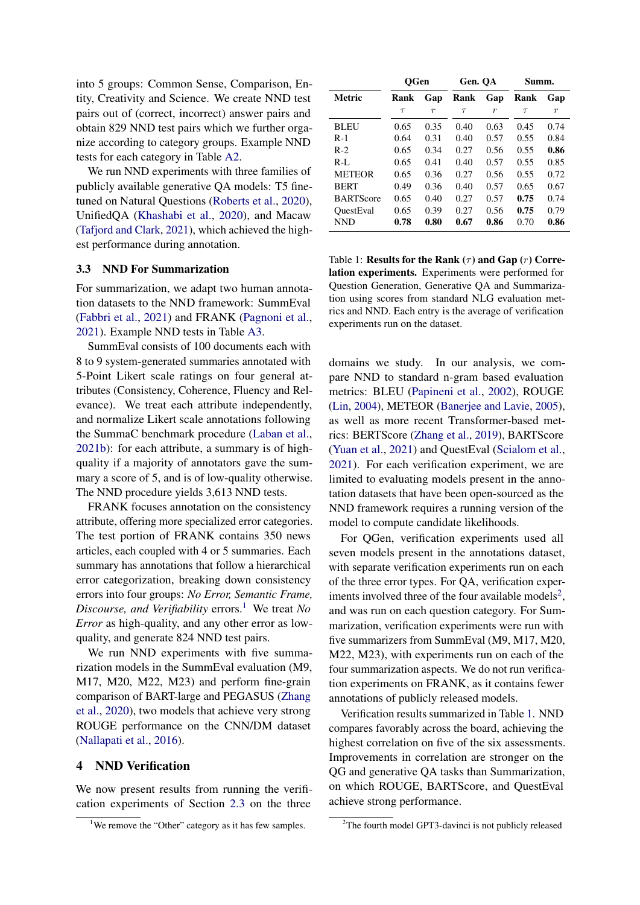into 5 groups: Common Sense, Comparison, Entity, Creativity and Science. We create NND test pairs out of (correct, incorrect) answer pairs and obtain 829 NND test pairs which we further organize according to category groups. Example NND tests for each category in Table [A2.](#page-12-0)

We run NND experiments with three families of publicly available generative QA models: T5 finetuned on Natural Questions [\(Roberts et al.,](#page-9-8) [2020\)](#page-9-8), UnifiedQA [\(Khashabi et al.,](#page-9-9) [2020\)](#page-9-9), and Macaw [\(Tafjord and Clark,](#page-10-1) [2021\)](#page-10-1), which achieved the highest performance during annotation.

## <span id="page-3-4"></span>3.3 NND For Summarization

For summarization, we adapt two human annotation datasets to the NND framework: SummEval [\(Fabbri et al.,](#page-8-0) [2021\)](#page-8-0) and FRANK [\(Pagnoni et al.,](#page-9-10) [2021\)](#page-9-10). Example NND tests in Table [A3.](#page-13-0)

SummEval consists of 100 documents each with 8 to 9 system-generated summaries annotated with 5-Point Likert scale ratings on four general attributes (Consistency, Coherence, Fluency and Relevance). We treat each attribute independently, and normalize Likert scale annotations following the SummaC benchmark procedure [\(Laban et al.,](#page-9-11) [2021b\)](#page-9-11): for each attribute, a summary is of highquality if a majority of annotators gave the summary a score of 5, and is of low-quality otherwise. The NND procedure yields 3,613 NND tests.

FRANK focuses annotation on the consistency attribute, offering more specialized error categories. The test portion of FRANK contains 350 news articles, each coupled with 4 or 5 summaries. Each summary has annotations that follow a hierarchical error categorization, breaking down consistency errors into four groups: *No Error, Semantic Frame, Discourse, and Verifiability* errors.[1](#page-3-1) We treat *No Error* as high-quality, and any other error as lowquality, and generate 824 NND test pairs.

We run NND experiments with five summarization models in the SummEval evaluation (M9, M17, M20, M22, M23) and perform fine-grain comparison of BART-large and PEGASUS [\(Zhang](#page-10-0) [et al.,](#page-10-0) [2020\)](#page-10-0), two models that achieve very strong ROUGE performance on the CNN/DM dataset [\(Nallapati et al.,](#page-9-12) [2016\)](#page-9-12).

## <span id="page-3-0"></span>4 NND Verification

We now present results from running the verification experiments of Section [2.3](#page-2-1) on the three

<span id="page-3-3"></span>

|                  | <b>OGen</b> |                  | Gen. QA |                  | Summ.  |                  |
|------------------|-------------|------------------|---------|------------------|--------|------------------|
| Metric           | Rank        | Gap              | Rank    | Gap              | Rank   | Gap              |
|                  | $\tau$      | $\boldsymbol{r}$ | $\tau$  | $\boldsymbol{r}$ | $\tau$ | $\boldsymbol{r}$ |
| <b>BLEU</b>      | 0.65        | 0.35             | 0.40    | 0.63             | 0.45   | 0.74             |
| $R-1$            | 0.64        | 0.31             | 0.40    | 0.57             | 0.55   | 0.84             |
| $R-2$            | 0.65        | 0.34             | 0.27    | 0.56             | 0.55   | 0.86             |
| $R-I$ .          | 0.65        | 0.41             | 0.40    | 0.57             | 0.55   | 0.85             |
| <b>METEOR</b>    | 0.65        | 0.36             | 0.27    | 0.56             | 0.55   | 0.72             |
| <b>BERT</b>      | 0.49        | 0.36             | 0.40    | 0.57             | 0.65   | 0.67             |
| <b>BARTScore</b> | 0.65        | 0.40             | 0.27    | 0.57             | 0.75   | 0.74             |
| OuestEval        | 0.65        | 0.39             | 0.27    | 0.56             | 0.75   | 0.79             |
| <b>NND</b>       | 0.78        | 0.80             | 0.67    | 0.86             | 0.70   | 0.86             |

Table 1: Results for the Rank  $(\tau)$  and Gap  $(r)$  Correlation experiments. Experiments were performed for Question Generation, Generative QA and Summarization using scores from standard NLG evaluation metrics and NND. Each entry is the average of verification experiments run on the dataset.

domains we study. In our analysis, we compare NND to standard n-gram based evaluation metrics: BLEU [\(Papineni et al.,](#page-9-2) [2002\)](#page-9-2), ROUGE [\(Lin,](#page-9-13) [2004\)](#page-9-13), METEOR [\(Banerjee and Lavie,](#page-8-1) [2005\)](#page-8-1), as well as more recent Transformer-based metrics: BERTScore [\(Zhang et al.,](#page-10-3) [2019\)](#page-10-3), BARTScore [\(Yuan et al.,](#page-10-4) [2021\)](#page-10-4) and QuestEval [\(Scialom et al.,](#page-10-5) [2021\)](#page-10-5). For each verification experiment, we are limited to evaluating models present in the annotation datasets that have been open-sourced as the NND framework requires a running version of the model to compute candidate likelihoods.

For QGen, verification experiments used all seven models present in the annotations dataset, with separate verification experiments run on each of the three error types. For QA, verification exper-iments involved three of the four available models<sup>[2](#page-3-2)</sup>, and was run on each question category. For Summarization, verification experiments were run with five summarizers from SummEval (M9, M17, M20, M22, M23), with experiments run on each of the four summarization aspects. We do not run verification experiments on FRANK, as it contains fewer annotations of publicly released models.

Verification results summarized in Table [1.](#page-3-3) NND compares favorably across the board, achieving the highest correlation on five of the six assessments. Improvements in correlation are stronger on the QG and generative QA tasks than Summarization, on which ROUGE, BARTScore, and QuestEval achieve strong performance.

<span id="page-3-1"></span><sup>&</sup>lt;sup>1</sup>We remove the "Other" category as it has few samples.

<span id="page-3-2"></span><sup>&</sup>lt;sup>2</sup>The fourth model GPT3-davinci is not publicly released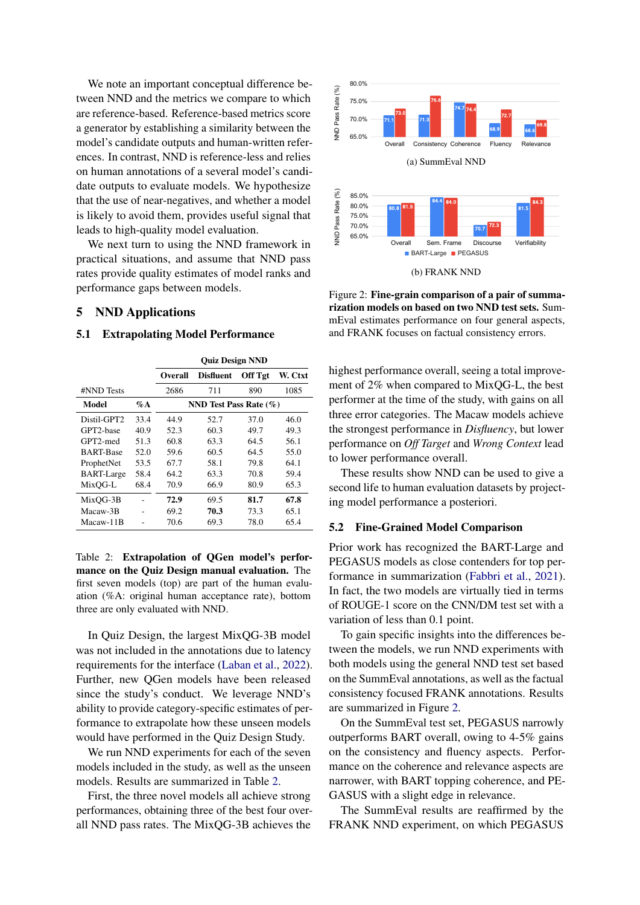We note an important conceptual difference between NND and the metrics we compare to which are reference-based. Reference-based metrics score a generator by establishing a similarity between the model's candidate outputs and human-written references. In contrast, NND is reference-less and relies on human annotations of a several model's candidate outputs to evaluate models. We hypothesize that the use of near-negatives, and whether a model is likely to avoid them, provides useful signal that leads to high-quality model evaluation.

We next turn to using the NND framework in practical situations, and assume that NND pass rates provide quality estimates of model ranks and performance gaps between models.

## <span id="page-4-0"></span>5 NND Applications

## 5.1 Extrapolating Model Performance

<span id="page-4-1"></span>

|                   |        | QUIZ Design NND            |                  |                |         |  |
|-------------------|--------|----------------------------|------------------|----------------|---------|--|
|                   |        | Overall                    | <b>Disfluent</b> | <b>Off Tgt</b> | W. Ctxt |  |
| #NND Tests        |        | 2686                       | 711              | 890            | 1085    |  |
| Model             | $\%$ A | NND Test Pass Rate $(\% )$ |                  |                |         |  |
| Distil-GPT2       | 33.4   | 44.9                       | 52.7             | 37.0           | 46.0    |  |
| GPT2-base         | 40.9   | 52.3                       | 60.3             | 49.7           | 49.3    |  |
| GPT2-med          | 51.3   | 60.8                       | 63.3             | 64.5           | 56.1    |  |
| <b>BART-Base</b>  | 52.0   | 59.6                       | 60.5             | 64.5           | 55.0    |  |
| ProphetNet        | 53.5   | 67.7                       | 58.1             | 79.8           | 64.1    |  |
| <b>BART-Large</b> | 58.4   | 64.2                       | 63.3             | 70.8           | 59.4    |  |
| MixOG-L           | 68.4   | 70.9                       | 66.9             | 80.9           | 65.3    |  |
| MixOG-3B          |        | 72.9                       | 69.5             | 81.7           | 67.8    |  |
| Macaw-3B          |        | 69.2                       | 70.3             | 73.3           | 65.1    |  |
| Macaw-11B         |        | 70.6                       | 69.3             | 78.0           | 65.4    |  |

 $\alpha$  be  $\alpha$  been

Table 2: Extrapolation of QGen model's performance on the Quiz Design manual evaluation. The first seven models (top) are part of the human evaluation (%A: original human acceptance rate), bottom three are only evaluated with NND.

In Quiz Design, the largest MixQG-3B model was not included in the annotations due to latency requirements for the interface [\(Laban et al.,](#page-9-5) [2022\)](#page-9-5). Further, new QGen models have been released since the study's conduct. We leverage NND's ability to provide category-specific estimates of performance to extrapolate how these unseen models would have performed in the Quiz Design Study.

We run NND experiments for each of the seven models included in the study, as well as the unseen models. Results are summarized in Table [2.](#page-4-1)

First, the three novel models all achieve strong performances, obtaining three of the best four overall NND pass rates. The MixQG-3B achieves the

<span id="page-4-2"></span>

Figure 2: Fine-grain comparison of a pair of summarization models on based on two NND test sets. SummEval estimates performance on four general aspects, and FRANK focuses on factual consistency errors.

highest performance overall, seeing a total improvement of 2% when compared to MixQG-L, the best performer at the time of the study, with gains on all three error categories. The Macaw models achieve the strongest performance in *Disfluency*, but lower performance on *Off Target* and *Wrong Context* lead to lower performance overall.

These results show NND can be used to give a second life to human evaluation datasets by projecting model performance a posteriori.

#### <span id="page-4-3"></span>5.2 Fine-Grained Model Comparison

Prior work has recognized the BART-Large and PEGASUS models as close contenders for top performance in summarization [\(Fabbri et al.,](#page-8-0) [2021\)](#page-8-0). In fact, the two models are virtually tied in terms of ROUGE-1 score on the CNN/DM test set with a variation of less than 0.1 point.

To gain specific insights into the differences between the models, we run NND experiments with both models using the general NND test set based on the SummEval annotations, as well as the factual consistency focused FRANK annotations. Results are summarized in Figure [2.](#page-4-2)

On the SummEval test set, PEGASUS narrowly outperforms BART overall, owing to 4-5% gains on the consistency and fluency aspects. Performance on the coherence and relevance aspects are narrower, with BART topping coherence, and PE-GASUS with a slight edge in relevance.

The SummEval results are reaffirmed by the FRANK NND experiment, on which PEGASUS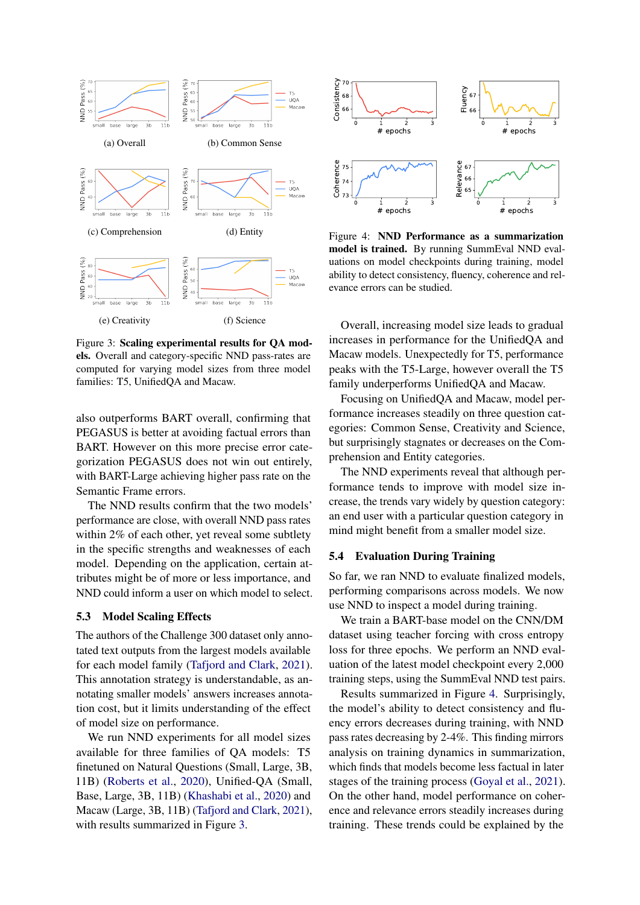<span id="page-5-0"></span>

Figure 3: Scaling experimental results for QA models. Overall and category-specific NND pass-rates are computed for varying model sizes from three model families: T5, UnifiedQA and Macaw.

also outperforms BART overall, confirming that PEGASUS is better at avoiding factual errors than BART. However on this more precise error categorization PEGASUS does not win out entirely, with BART-Large achieving higher pass rate on the Semantic Frame errors.

The NND results confirm that the two models' performance are close, with overall NND pass rates within 2% of each other, yet reveal some subtlety in the specific strengths and weaknesses of each model. Depending on the application, certain attributes might be of more or less importance, and NND could inform a user on which model to select.

## 5.3 Model Scaling Effects

The authors of the Challenge 300 dataset only annotated text outputs from the largest models available for each model family [\(Tafjord and Clark,](#page-10-1) [2021\)](#page-10-1). This annotation strategy is understandable, as annotating smaller models' answers increases annotation cost, but it limits understanding of the effect of model size on performance.

We run NND experiments for all model sizes available for three families of QA models: T5 finetuned on Natural Questions (Small, Large, 3B, 11B) [\(Roberts et al.,](#page-9-8) [2020\)](#page-9-8), Unified-QA (Small, Base, Large, 3B, 11B) [\(Khashabi et al.,](#page-9-9) [2020\)](#page-9-9) and Macaw (Large, 3B, 11B) [\(Tafjord and Clark,](#page-10-1) [2021\)](#page-10-1), with results summarized in Figure [3.](#page-5-0)

<span id="page-5-1"></span>

Figure 4: NND Performance as a summarization model is trained. By running SummEval NND evaluations on model checkpoints during training, model ability to detect consistency, fluency, coherence and relevance errors can be studied.

Overall, increasing model size leads to gradual increases in performance for the UnifiedQA and Macaw models. Unexpectedly for T5, performance peaks with the T5-Large, however overall the T5 family underperforms UnifiedQA and Macaw.

Focusing on UnifiedQA and Macaw, model performance increases steadily on three question categories: Common Sense, Creativity and Science, but surprisingly stagnates or decreases on the Comprehension and Entity categories.

The NND experiments reveal that although performance tends to improve with model size increase, the trends vary widely by question category: an end user with a particular question category in mind might benefit from a smaller model size.

#### <span id="page-5-2"></span>5.4 Evaluation During Training

So far, we ran NND to evaluate finalized models, performing comparisons across models. We now use NND to inspect a model during training.

We train a BART-base model on the CNN/DM dataset using teacher forcing with cross entropy loss for three epochs. We perform an NND evaluation of the latest model checkpoint every 2,000 training steps, using the SummEval NND test pairs.

Results summarized in Figure [4.](#page-5-1) Surprisingly, the model's ability to detect consistency and fluency errors decreases during training, with NND pass rates decreasing by 2-4%. This finding mirrors analysis on training dynamics in summarization, which finds that models become less factual in later stages of the training process [\(Goyal et al.,](#page-8-2) [2021\)](#page-8-2). On the other hand, model performance on coherence and relevance errors steadily increases during training. These trends could be explained by the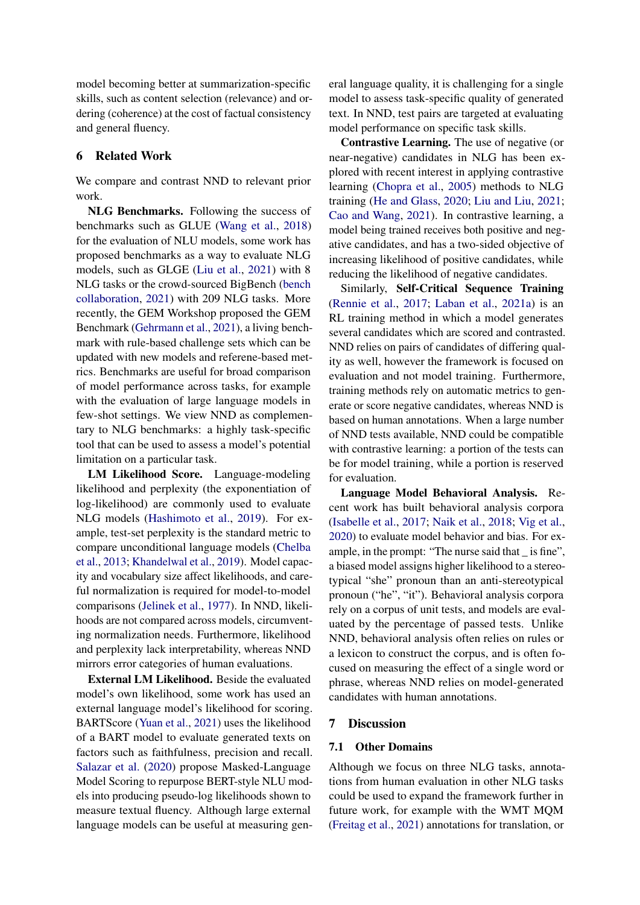model becoming better at summarization-specific skills, such as content selection (relevance) and ordering (coherence) at the cost of factual consistency and general fluency.

## 6 Related Work

We compare and contrast NND to relevant prior work.

NLG Benchmarks. Following the success of benchmarks such as GLUE [\(Wang et al.,](#page-10-6) [2018\)](#page-10-6) for the evaluation of NLU models, some work has proposed benchmarks as a way to evaluate NLG models, such as GLGE [\(Liu et al.,](#page-9-14) [2021\)](#page-9-14) with 8 NLG tasks or the crowd-sourced BigBench [\(bench](#page-8-3) [collaboration,](#page-8-3) [2021\)](#page-8-3) with 209 NLG tasks. More recently, the GEM Workshop proposed the GEM Benchmark [\(Gehrmann et al.,](#page-8-4) [2021\)](#page-8-4), a living benchmark with rule-based challenge sets which can be updated with new models and referene-based metrics. Benchmarks are useful for broad comparison of model performance across tasks, for example with the evaluation of large language models in few-shot settings. We view NND as complementary to NLG benchmarks: a highly task-specific tool that can be used to assess a model's potential limitation on a particular task.

LM Likelihood Score. Language-modeling likelihood and perplexity (the exponentiation of log-likelihood) are commonly used to evaluate NLG models [\(Hashimoto et al.,](#page-8-5) [2019\)](#page-8-5). For example, test-set perplexity is the standard metric to compare unconditional language models [\(Chelba](#page-8-6) [et al.,](#page-8-6) [2013;](#page-8-6) [Khandelwal et al.,](#page-9-15) [2019\)](#page-9-15). Model capacity and vocabulary size affect likelihoods, and careful normalization is required for model-to-model comparisons [\(Jelinek et al.,](#page-8-7) [1977\)](#page-8-7). In NND, likelihoods are not compared across models, circumventing normalization needs. Furthermore, likelihood and perplexity lack interpretability, whereas NND mirrors error categories of human evaluations.

External LM Likelihood. Beside the evaluated model's own likelihood, some work has used an external language model's likelihood for scoring. BARTScore [\(Yuan et al.,](#page-10-4) [2021\)](#page-10-4) uses the likelihood of a BART model to evaluate generated texts on factors such as faithfulness, precision and recall. [Salazar et al.](#page-10-7) [\(2020\)](#page-10-7) propose Masked-Language Model Scoring to repurpose BERT-style NLU models into producing pseudo-log likelihoods shown to measure textual fluency. Although large external language models can be useful at measuring general language quality, it is challenging for a single model to assess task-specific quality of generated text. In NND, test pairs are targeted at evaluating model performance on specific task skills.

Contrastive Learning. The use of negative (or near-negative) candidates in NLG has been explored with recent interest in applying contrastive learning [\(Chopra et al.,](#page-8-8) [2005\)](#page-8-8) methods to NLG training [\(He and Glass,](#page-8-9) [2020;](#page-8-9) [Liu and Liu,](#page-9-16) [2021;](#page-9-16) [Cao and Wang,](#page-8-10) [2021\)](#page-8-10). In contrastive learning, a model being trained receives both positive and negative candidates, and has a two-sided objective of increasing likelihood of positive candidates, while reducing the likelihood of negative candidates.

Similarly, Self-Critical Sequence Training [\(Rennie et al.,](#page-9-17) [2017;](#page-9-17) [Laban et al.,](#page-9-18) [2021a\)](#page-9-18) is an RL training method in which a model generates several candidates which are scored and contrasted. NND relies on pairs of candidates of differing quality as well, however the framework is focused on evaluation and not model training. Furthermore, training methods rely on automatic metrics to generate or score negative candidates, whereas NND is based on human annotations. When a large number of NND tests available, NND could be compatible with contrastive learning: a portion of the tests can be for model training, while a portion is reserved for evaluation.

Language Model Behavioral Analysis. Recent work has built behavioral analysis corpora [\(Isabelle et al.,](#page-8-11) [2017;](#page-8-11) [Naik et al.,](#page-9-19) [2018;](#page-9-19) [Vig et al.,](#page-10-8) [2020\)](#page-10-8) to evaluate model behavior and bias. For example, in the prompt: "The nurse said that \_ is fine", a biased model assigns higher likelihood to a stereotypical "she" pronoun than an anti-stereotypical pronoun ("he", "it"). Behavioral analysis corpora rely on a corpus of unit tests, and models are evaluated by the percentage of passed tests. Unlike NND, behavioral analysis often relies on rules or a lexicon to construct the corpus, and is often focused on measuring the effect of a single word or phrase, whereas NND relies on model-generated candidates with human annotations.

#### 7 Discussion

#### 7.1 Other Domains

Although we focus on three NLG tasks, annotations from human evaluation in other NLG tasks could be used to expand the framework further in future work, for example with the WMT MQM [\(Freitag et al.,](#page-8-12) [2021\)](#page-8-12) annotations for translation, or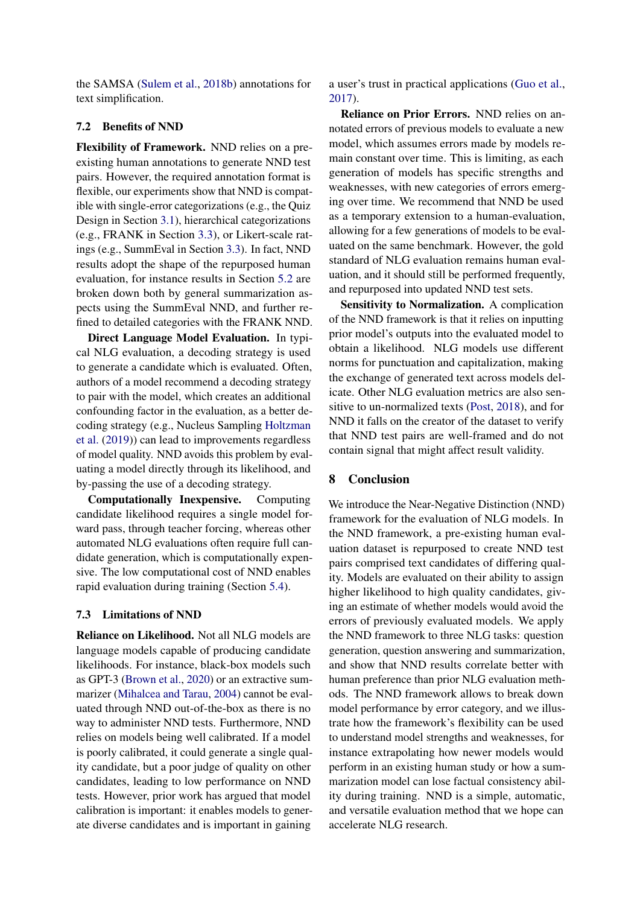the SAMSA [\(Sulem et al.,](#page-10-9) [2018b\)](#page-10-9) annotations for text simplification.

## 7.2 Benefits of NND

Flexibility of Framework. NND relies on a preexisting human annotations to generate NND test pairs. However, the required annotation format is flexible, our experiments show that NND is compatible with single-error categorizations (e.g., the Quiz Design in Section [3.1\)](#page-2-2), hierarchical categorizations (e.g., FRANK in Section [3.3\)](#page-3-4), or Likert-scale ratings (e.g., SummEval in Section [3.3\)](#page-3-4). In fact, NND results adopt the shape of the repurposed human evaluation, for instance results in Section [5.2](#page-4-3) are broken down both by general summarization aspects using the SummEval NND, and further refined to detailed categories with the FRANK NND.

Direct Language Model Evaluation. In typical NLG evaluation, a decoding strategy is used to generate a candidate which is evaluated. Often, authors of a model recommend a decoding strategy to pair with the model, which creates an additional confounding factor in the evaluation, as a better decoding strategy (e.g., Nucleus Sampling [Holtzman](#page-8-13) [et al.](#page-8-13) [\(2019\)](#page-8-13)) can lead to improvements regardless of model quality. NND avoids this problem by evaluating a model directly through its likelihood, and by-passing the use of a decoding strategy.

Computationally Inexpensive. Computing candidate likelihood requires a single model forward pass, through teacher forcing, whereas other automated NLG evaluations often require full candidate generation, which is computationally expensive. The low computational cost of NND enables rapid evaluation during training (Section [5.4\)](#page-5-2).

### 7.3 Limitations of NND

Reliance on Likelihood. Not all NLG models are language models capable of producing candidate likelihoods. For instance, black-box models such as GPT-3 [\(Brown et al.,](#page-8-14) [2020\)](#page-8-14) or an extractive summarizer [\(Mihalcea and Tarau,](#page-9-20) [2004\)](#page-9-20) cannot be evaluated through NND out-of-the-box as there is no way to administer NND tests. Furthermore, NND relies on models being well calibrated. If a model is poorly calibrated, it could generate a single quality candidate, but a poor judge of quality on other candidates, leading to low performance on NND tests. However, prior work has argued that model calibration is important: it enables models to generate diverse candidates and is important in gaining

a user's trust in practical applications [\(Guo et al.,](#page-8-15) [2017\)](#page-8-15).

Reliance on Prior Errors. NND relies on annotated errors of previous models to evaluate a new model, which assumes errors made by models remain constant over time. This is limiting, as each generation of models has specific strengths and weaknesses, with new categories of errors emerging over time. We recommend that NND be used as a temporary extension to a human-evaluation, allowing for a few generations of models to be evaluated on the same benchmark. However, the gold standard of NLG evaluation remains human evaluation, and it should still be performed frequently, and repurposed into updated NND test sets.

Sensitivity to Normalization. A complication of the NND framework is that it relies on inputting prior model's outputs into the evaluated model to obtain a likelihood. NLG models use different norms for punctuation and capitalization, making the exchange of generated text across models delicate. Other NLG evaluation metrics are also sensitive to un-normalized texts [\(Post,](#page-9-21) [2018\)](#page-9-21), and for NND it falls on the creator of the dataset to verify that NND test pairs are well-framed and do not contain signal that might affect result validity.

#### 8 Conclusion

We introduce the Near-Negative Distinction (NND) framework for the evaluation of NLG models. In the NND framework, a pre-existing human evaluation dataset is repurposed to create NND test pairs comprised text candidates of differing quality. Models are evaluated on their ability to assign higher likelihood to high quality candidates, giving an estimate of whether models would avoid the errors of previously evaluated models. We apply the NND framework to three NLG tasks: question generation, question answering and summarization, and show that NND results correlate better with human preference than prior NLG evaluation methods. The NND framework allows to break down model performance by error category, and we illustrate how the framework's flexibility can be used to understand model strengths and weaknesses, for instance extrapolating how newer models would perform in an existing human study or how a summarization model can lose factual consistency ability during training. NND is a simple, automatic, and versatile evaluation method that we hope can accelerate NLG research.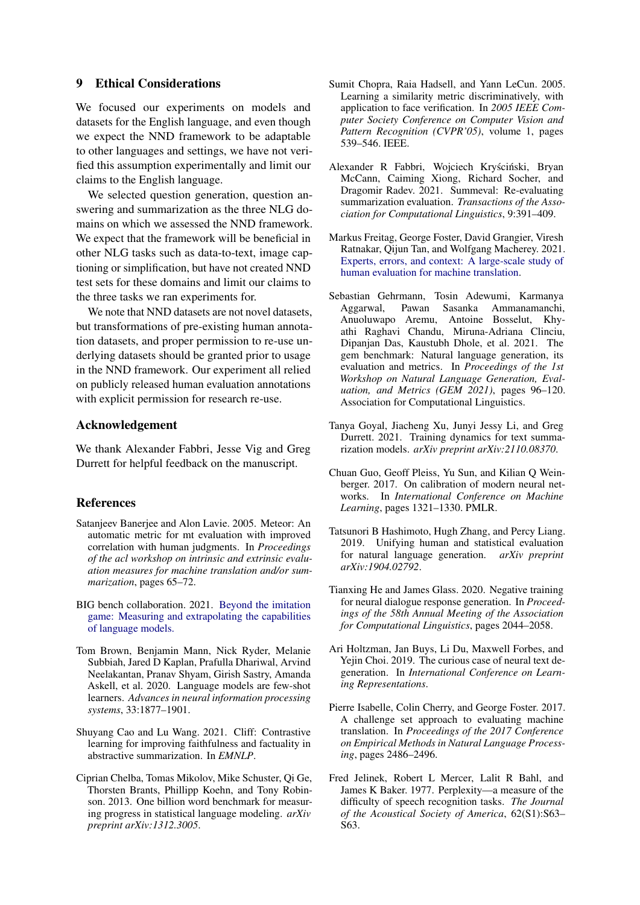## 9 Ethical Considerations

We focused our experiments on models and datasets for the English language, and even though we expect the NND framework to be adaptable to other languages and settings, we have not verified this assumption experimentally and limit our claims to the English language.

We selected question generation, question answering and summarization as the three NLG domains on which we assessed the NND framework. We expect that the framework will be beneficial in other NLG tasks such as data-to-text, image captioning or simplification, but have not created NND test sets for these domains and limit our claims to the three tasks we ran experiments for.

We note that NND datasets are not novel datasets, but transformations of pre-existing human annotation datasets, and proper permission to re-use underlying datasets should be granted prior to usage in the NND framework. Our experiment all relied on publicly released human evaluation annotations with explicit permission for research re-use.

### Acknowledgement

We thank Alexander Fabbri, Jesse Vig and Greg Durrett for helpful feedback on the manuscript.

#### **References**

- <span id="page-8-1"></span>Satanjeev Banerjee and Alon Lavie. 2005. Meteor: An automatic metric for mt evaluation with improved correlation with human judgments. In *Proceedings of the acl workshop on intrinsic and extrinsic evaluation measures for machine translation and/or summarization*, pages 65–72.
- <span id="page-8-3"></span>BIG bench collaboration. 2021. [Beyond the imitation](https://github.com/google/BIG-bench) [game: Measuring and extrapolating the capabilities](https://github.com/google/BIG-bench) [of language models.](https://github.com/google/BIG-bench)
- <span id="page-8-14"></span>Tom Brown, Benjamin Mann, Nick Ryder, Melanie Subbiah, Jared D Kaplan, Prafulla Dhariwal, Arvind Neelakantan, Pranav Shyam, Girish Sastry, Amanda Askell, et al. 2020. Language models are few-shot learners. *Advances in neural information processing systems*, 33:1877–1901.
- <span id="page-8-10"></span>Shuyang Cao and Lu Wang. 2021. Cliff: Contrastive learning for improving faithfulness and factuality in abstractive summarization. In *EMNLP*.
- <span id="page-8-6"></span>Ciprian Chelba, Tomas Mikolov, Mike Schuster, Qi Ge, Thorsten Brants, Phillipp Koehn, and Tony Robinson. 2013. One billion word benchmark for measuring progress in statistical language modeling. *arXiv preprint arXiv:1312.3005*.
- <span id="page-8-8"></span>Sumit Chopra, Raia Hadsell, and Yann LeCun. 2005. Learning a similarity metric discriminatively, with application to face verification. In *2005 IEEE Computer Society Conference on Computer Vision and Pattern Recognition (CVPR'05)*, volume 1, pages 539–546. IEEE.
- <span id="page-8-0"></span>Alexander R Fabbri, Wojciech Kryściński, Bryan McCann, Caiming Xiong, Richard Socher, and Dragomir Radev. 2021. Summeval: Re-evaluating summarization evaluation. *Transactions of the Association for Computational Linguistics*, 9:391–409.
- <span id="page-8-12"></span>Markus Freitag, George Foster, David Grangier, Viresh Ratnakar, Qijun Tan, and Wolfgang Macherey. 2021. [Experts, errors, and context: A large-scale study of](http://arxiv.org/abs/2104.14478) [human evaluation for machine translation.](http://arxiv.org/abs/2104.14478)
- <span id="page-8-4"></span>Sebastian Gehrmann, Tosin Adewumi, Karmanya Aggarwal, Pawan Sasanka Ammanamanchi, Anuoluwapo Aremu, Antoine Bosselut, Khyathi Raghavi Chandu, Miruna-Adriana Clinciu, Dipanjan Das, Kaustubh Dhole, et al. 2021. The gem benchmark: Natural language generation, its evaluation and metrics. In *Proceedings of the 1st Workshop on Natural Language Generation, Evaluation, and Metrics (GEM 2021)*, pages 96–120. Association for Computational Linguistics.
- <span id="page-8-2"></span>Tanya Goyal, Jiacheng Xu, Junyi Jessy Li, and Greg Durrett. 2021. Training dynamics for text summarization models. *arXiv preprint arXiv:2110.08370*.
- <span id="page-8-15"></span>Chuan Guo, Geoff Pleiss, Yu Sun, and Kilian Q Weinberger. 2017. On calibration of modern neural networks. In *International Conference on Machine Learning*, pages 1321–1330. PMLR.
- <span id="page-8-5"></span>Tatsunori B Hashimoto, Hugh Zhang, and Percy Liang. 2019. Unifying human and statistical evaluation for natural language generation. *arXiv preprint arXiv:1904.02792*.
- <span id="page-8-9"></span>Tianxing He and James Glass. 2020. Negative training for neural dialogue response generation. In *Proceedings of the 58th Annual Meeting of the Association for Computational Linguistics*, pages 2044–2058.
- <span id="page-8-13"></span>Ari Holtzman, Jan Buys, Li Du, Maxwell Forbes, and Yejin Choi. 2019. The curious case of neural text degeneration. In *International Conference on Learning Representations*.
- <span id="page-8-11"></span>Pierre Isabelle, Colin Cherry, and George Foster. 2017. A challenge set approach to evaluating machine translation. In *Proceedings of the 2017 Conference on Empirical Methods in Natural Language Processing*, pages 2486–2496.
- <span id="page-8-7"></span>Fred Jelinek, Robert L Mercer, Lalit R Bahl, and James K Baker. 1977. Perplexity—a measure of the difficulty of speech recognition tasks. *The Journal of the Acoustical Society of America*, 62(S1):S63– S63.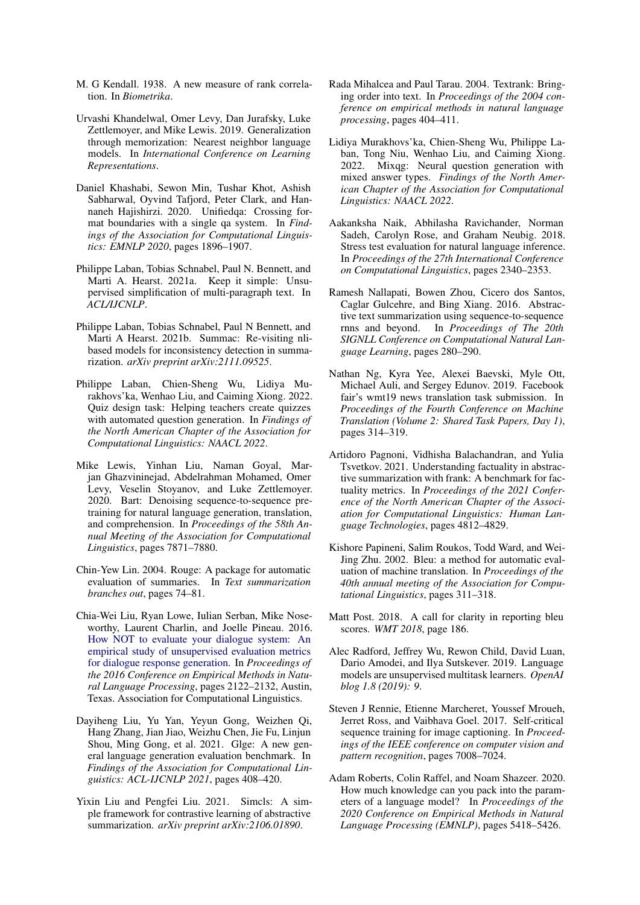- <span id="page-9-4"></span>M. G Kendall. 1938. A new measure of rank correlation. In *Biometrika*.
- <span id="page-9-15"></span>Urvashi Khandelwal, Omer Levy, Dan Jurafsky, Luke Zettlemoyer, and Mike Lewis. 2019. Generalization through memorization: Nearest neighbor language models. In *International Conference on Learning Representations*.
- <span id="page-9-9"></span>Daniel Khashabi, Sewon Min, Tushar Khot, Ashish Sabharwal, Oyvind Tafjord, Peter Clark, and Hannaneh Hajishirzi. 2020. Unifiedqa: Crossing format boundaries with a single qa system. In *Findings of the Association for Computational Linguistics: EMNLP 2020*, pages 1896–1907.
- <span id="page-9-18"></span>Philippe Laban, Tobias Schnabel, Paul N. Bennett, and Marti A. Hearst. 2021a. Keep it simple: Unsupervised simplification of multi-paragraph text. In *ACL/IJCNLP*.
- <span id="page-9-11"></span>Philippe Laban, Tobias Schnabel, Paul N Bennett, and Marti A Hearst. 2021b. Summac: Re-visiting nlibased models for inconsistency detection in summarization. *arXiv preprint arXiv:2111.09525*.
- <span id="page-9-5"></span>Philippe Laban, Chien-Sheng Wu, Lidiya Murakhovs'ka, Wenhao Liu, and Caiming Xiong. 2022. Quiz design task: Helping teachers create quizzes with automated question generation. In *Findings of the North American Chapter of the Association for Computational Linguistics: NAACL 2022*.
- <span id="page-9-7"></span>Mike Lewis, Yinhan Liu, Naman Goyal, Marjan Ghazvininejad, Abdelrahman Mohamed, Omer Levy, Veselin Stoyanov, and Luke Zettlemoyer. 2020. Bart: Denoising sequence-to-sequence pretraining for natural language generation, translation, and comprehension. In *Proceedings of the 58th Annual Meeting of the Association for Computational Linguistics*, pages 7871–7880.
- <span id="page-9-13"></span>Chin-Yew Lin. 2004. Rouge: A package for automatic evaluation of summaries. In *Text summarization branches out*, pages 74–81.
- <span id="page-9-3"></span>Chia-Wei Liu, Ryan Lowe, Iulian Serban, Mike Noseworthy, Laurent Charlin, and Joelle Pineau. 2016. [How NOT to evaluate your dialogue system: An](https://doi.org/10.18653/v1/D16-1230) [empirical study of unsupervised evaluation metrics](https://doi.org/10.18653/v1/D16-1230) [for dialogue response generation.](https://doi.org/10.18653/v1/D16-1230) In *Proceedings of the 2016 Conference on Empirical Methods in Natural Language Processing*, pages 2122–2132, Austin, Texas. Association for Computational Linguistics.
- <span id="page-9-14"></span>Dayiheng Liu, Yu Yan, Yeyun Gong, Weizhen Qi, Hang Zhang, Jian Jiao, Weizhu Chen, Jie Fu, Linjun Shou, Ming Gong, et al. 2021. Glge: A new general language generation evaluation benchmark. In *Findings of the Association for Computational Linguistics: ACL-IJCNLP 2021*, pages 408–420.
- <span id="page-9-16"></span>Yixin Liu and Pengfei Liu. 2021. Simcls: A simple framework for contrastive learning of abstractive summarization. *arXiv preprint arXiv:2106.01890*.
- <span id="page-9-20"></span>Rada Mihalcea and Paul Tarau. 2004. Textrank: Bringing order into text. In *Proceedings of the 2004 conference on empirical methods in natural language processing*, pages 404–411.
- <span id="page-9-1"></span>Lidiya Murakhovs'ka, Chien-Sheng Wu, Philippe Laban, Tong Niu, Wenhao Liu, and Caiming Xiong. 2022. Mixqg: Neural question generation with mixed answer types. *Findings of the North American Chapter of the Association for Computational Linguistics: NAACL 2022*.
- <span id="page-9-19"></span>Aakanksha Naik, Abhilasha Ravichander, Norman Sadeh, Carolyn Rose, and Graham Neubig. 2018. Stress test evaluation for natural language inference. In *Proceedings of the 27th International Conference on Computational Linguistics*, pages 2340–2353.
- <span id="page-9-12"></span>Ramesh Nallapati, Bowen Zhou, Cicero dos Santos, Caglar Gulcehre, and Bing Xiang. 2016. Abstractive text summarization using sequence-to-sequence rnns and beyond. In *Proceedings of The 20th SIGNLL Conference on Computational Natural Language Learning*, pages 280–290.
- <span id="page-9-0"></span>Nathan Ng, Kyra Yee, Alexei Baevski, Myle Ott, Michael Auli, and Sergey Edunov. 2019. Facebook fair's wmt19 news translation task submission. In *Proceedings of the Fourth Conference on Machine Translation (Volume 2: Shared Task Papers, Day 1)*, pages 314–319.
- <span id="page-9-10"></span>Artidoro Pagnoni, Vidhisha Balachandran, and Yulia Tsvetkov. 2021. Understanding factuality in abstractive summarization with frank: A benchmark for factuality metrics. In *Proceedings of the 2021 Conference of the North American Chapter of the Association for Computational Linguistics: Human Language Technologies*, pages 4812–4829.
- <span id="page-9-2"></span>Kishore Papineni, Salim Roukos, Todd Ward, and Wei-Jing Zhu. 2002. Bleu: a method for automatic evaluation of machine translation. In *Proceedings of the 40th annual meeting of the Association for Computational Linguistics*, pages 311–318.
- <span id="page-9-21"></span>Matt Post. 2018. A call for clarity in reporting bleu scores. *WMT 2018*, page 186.
- <span id="page-9-6"></span>Alec Radford, Jeffrey Wu, Rewon Child, David Luan, Dario Amodei, and Ilya Sutskever. 2019. Language models are unsupervised multitask learners. *OpenAI blog 1.8 (2019): 9*.
- <span id="page-9-17"></span>Steven J Rennie, Etienne Marcheret, Youssef Mroueh, Jerret Ross, and Vaibhava Goel. 2017. Self-critical sequence training for image captioning. In *Proceedings of the IEEE conference on computer vision and pattern recognition*, pages 7008–7024.
- <span id="page-9-8"></span>Adam Roberts, Colin Raffel, and Noam Shazeer. 2020. How much knowledge can you pack into the parameters of a language model? In *Proceedings of the 2020 Conference on Empirical Methods in Natural Language Processing (EMNLP)*, pages 5418–5426.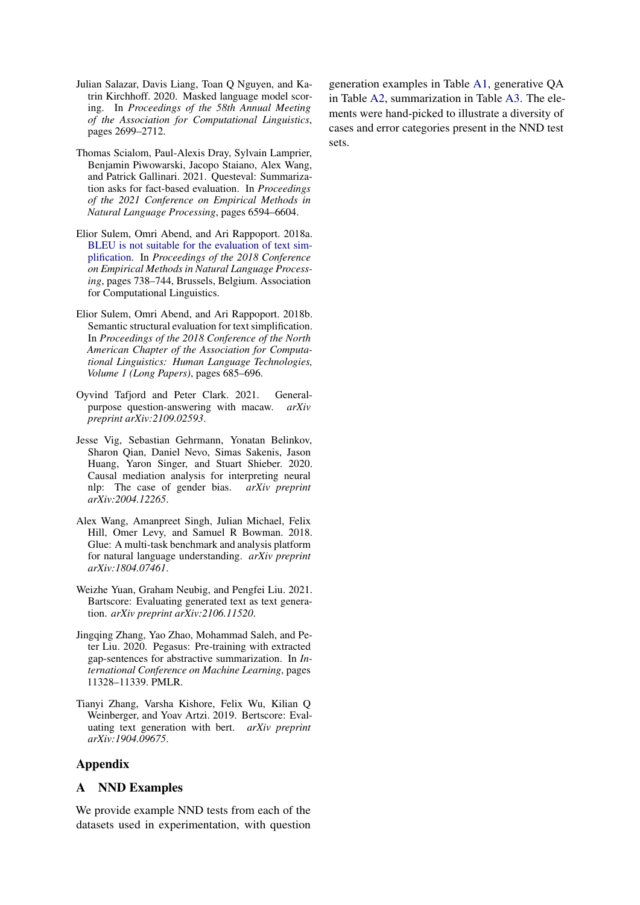- <span id="page-10-7"></span>Julian Salazar, Davis Liang, Toan Q Nguyen, and Katrin Kirchhoff. 2020. Masked language model scoring. In *Proceedings of the 58th Annual Meeting of the Association for Computational Linguistics*, pages 2699–2712.
- <span id="page-10-5"></span>Thomas Scialom, Paul-Alexis Dray, Sylvain Lamprier, Benjamin Piwowarski, Jacopo Staiano, Alex Wang, and Patrick Gallinari. 2021. Questeval: Summarization asks for fact-based evaluation. In *Proceedings of the 2021 Conference on Empirical Methods in Natural Language Processing*, pages 6594–6604.
- <span id="page-10-2"></span>Elior Sulem, Omri Abend, and Ari Rappoport. 2018a. [BLEU is not suitable for the evaluation of text sim](https://doi.org/10.18653/v1/D18-1081)[plification.](https://doi.org/10.18653/v1/D18-1081) In *Proceedings of the 2018 Conference on Empirical Methods in Natural Language Processing*, pages 738–744, Brussels, Belgium. Association for Computational Linguistics.
- <span id="page-10-9"></span>Elior Sulem, Omri Abend, and Ari Rappoport. 2018b. Semantic structural evaluation for text simplification. In *Proceedings of the 2018 Conference of the North American Chapter of the Association for Computational Linguistics: Human Language Technologies, Volume 1 (Long Papers)*, pages 685–696.
- <span id="page-10-1"></span>Oyvind Tafjord and Peter Clark. 2021. Generalpurpose question-answering with macaw. *arXiv preprint arXiv:2109.02593*.
- <span id="page-10-8"></span>Jesse Vig, Sebastian Gehrmann, Yonatan Belinkov, Sharon Qian, Daniel Nevo, Simas Sakenis, Jason Huang, Yaron Singer, and Stuart Shieber. 2020. Causal mediation analysis for interpreting neural nlp: The case of gender bias. *arXiv preprint arXiv:2004.12265*.
- <span id="page-10-6"></span>Alex Wang, Amanpreet Singh, Julian Michael, Felix Hill, Omer Levy, and Samuel R Bowman. 2018. Glue: A multi-task benchmark and analysis platform for natural language understanding. *arXiv preprint arXiv:1804.07461*.
- <span id="page-10-4"></span>Weizhe Yuan, Graham Neubig, and Pengfei Liu. 2021. Bartscore: Evaluating generated text as text generation. *arXiv preprint arXiv:2106.11520*.
- <span id="page-10-0"></span>Jingqing Zhang, Yao Zhao, Mohammad Saleh, and Peter Liu. 2020. Pegasus: Pre-training with extracted gap-sentences for abstractive summarization. In *International Conference on Machine Learning*, pages 11328–11339. PMLR.
- <span id="page-10-3"></span>Tianyi Zhang, Varsha Kishore, Felix Wu, Kilian Q Weinberger, and Yoav Artzi. 2019. Bertscore: Evaluating text generation with bert. *arXiv preprint arXiv:1904.09675*.

## Appendix

## A NND Examples

We provide example NND tests from each of the datasets used in experimentation, with question generation examples in Table [A1,](#page-11-0) generative QA in Table [A2,](#page-12-0) summarization in Table [A3.](#page-13-0) The elements were hand-picked to illustrate a diversity of cases and error categories present in the NND test sets.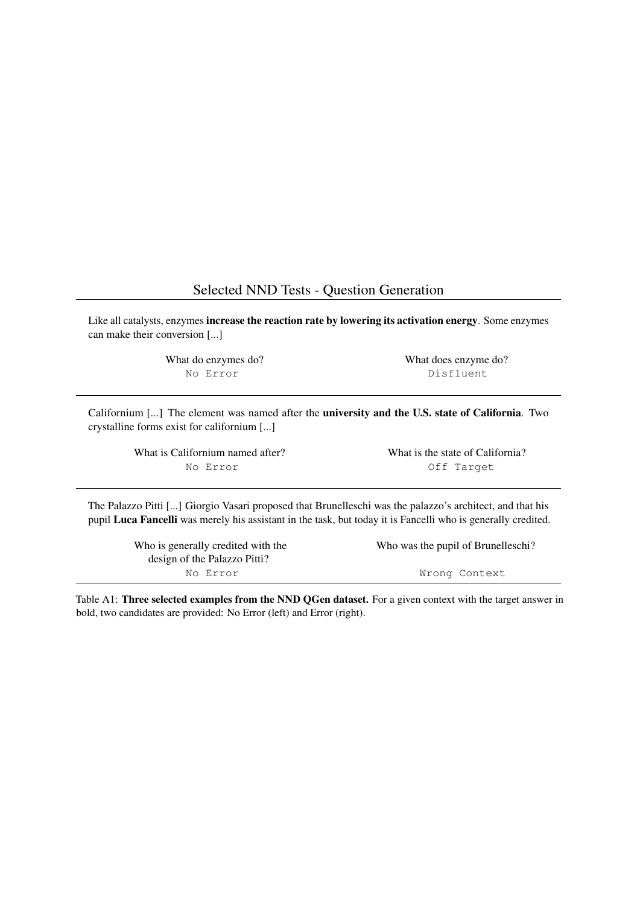## Selected NND Tests - Question Generation

<span id="page-11-0"></span>Like all catalysts, enzymes increase the reaction rate by lowering its activation energy. Some enzymes can make their conversion [...]

> What do enzymes do? What does enzyme do? No Error **Disfluent**

Californium [...] The element was named after the university and the U.S. state of California. Two crystalline forms exist for californium [...]

| What is Californium named after? | What is the state of California? |  |  |  |
|----------------------------------|----------------------------------|--|--|--|
| No Error                         | Off Target                       |  |  |  |

The Palazzo Pitti [...] Giorgio Vasari proposed that Brunelleschi was the palazzo's architect, and that his pupil Luca Fancelli was merely his assistant in the task, but today it is Fancelli who is generally credited.

design of the Palazzo Pitti? No Error Wrong Context

Who is generally credited with the Who was the pupil of Brunelleschi?

Table A1: Three selected examples from the NND QGen dataset. For a given context with the target answer in bold, two candidates are provided: No Error (left) and Error (right).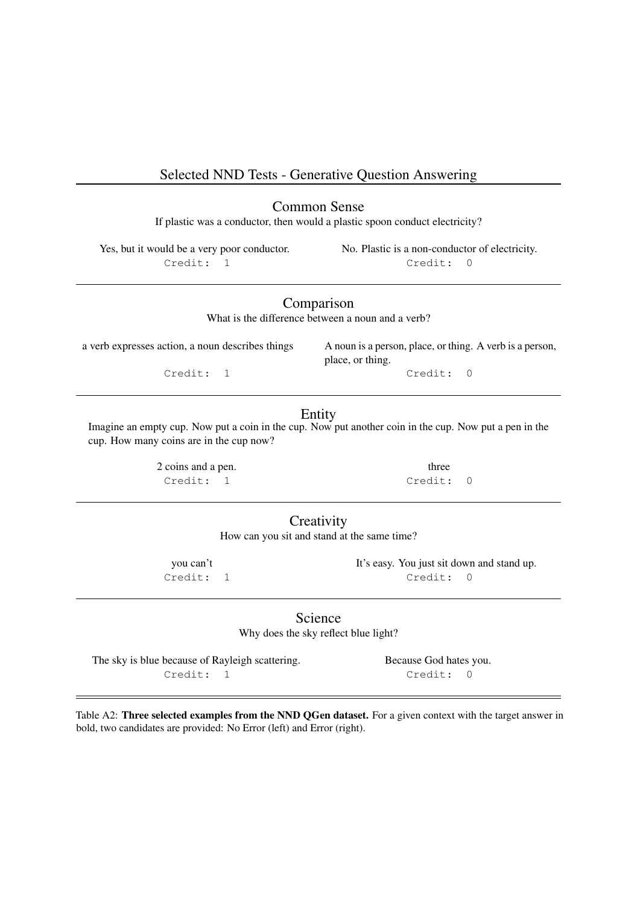# <span id="page-12-0"></span>Selected NND Tests - Generative Question Answering

Common Sense

If plastic was a conductor, then would a plastic spoon conduct electricity?

Yes, but it would be a very poor conductor. No. Plastic is a non-conductor of electricity. Credit: 1 Credit: 0

Comparison

What is the difference between a noun and a verb?

a verb expresses action, a noun describes things A noun is a person, place, or thing. A verb is a person, place, or thing. Credit: 1 Credit: 0

## Entity

Imagine an empty cup. Now put a coin in the cup. Now put another coin in the cup. Now put a pen in the cup. How many coins are in the cup now?

> 2 coins and a pen. three Credit: 1 Credit: 0

# **Creativity**

How can you sit and stand at the same time?

you can't It's easy. You just sit down and stand up. Credit: 1 Credit: 0

> **Science** Why does the sky reflect blue light?

The sky is blue because of Rayleigh scattering. Because God hates you. Credit: 1 Credit: 0

Table A2: Three selected examples from the NND QGen dataset. For a given context with the target answer in bold, two candidates are provided: No Error (left) and Error (right).